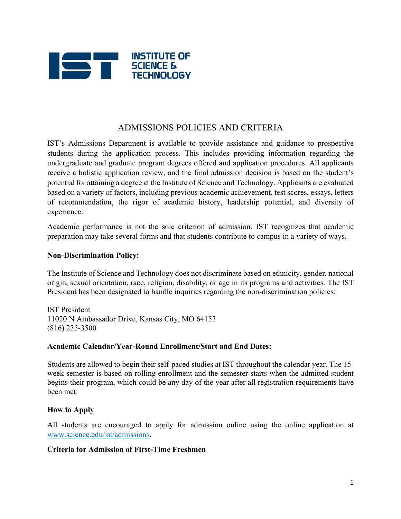

# ADMISSIONS POLICIES AND CRITERIA

IST's Admissions Department is available to provide assistance and guidance to prospective students during the application process. This includes providing information regarding the undergraduate and graduate program degrees offered and application procedures. All applicants receive a holistic application review, and the final admission decision is based on the student's potential for attaining a degree at the Institute of Science and Technology. Applicants are evaluated based on a variety of factors, including previous academic achievement, test scores, essays, letters of recommendation, the rigor of academic history, leadership potential, and diversity of experience.

Academic performance is not the sole criterion of admission. IST recognizes that academic preparation may take several forms and that students contribute to campus in a variety of ways.

#### **Non-Discrimination Policy:**

The Institute of Science and Technology does not discriminate based on ethnicity, gender, national origin, sexual orientation, race, religion, disability, or age in its programs and activities. The IST President has been designated to handle inquiries regarding the non-discrimination policies:

IST President 11020 N Ambassador Drive, Kansas City, MO 64153 (816) 235-3500

#### **Academic Calendar/Year-Round Enrollment/Start and End Dates:**

Students are allowed to begin their self-paced studies at IST throughout the calendar year. The 15 week semester is based on rolling enrollment and the semester starts when the admitted student begins their program, which could be any day of the year after all registration requirements have been met.

#### **How to Apply**

All students are encouraged to apply for admission online using the online application at www.science.edu/ist/admissions.

#### **Criteria for Admission of First-Time Freshmen**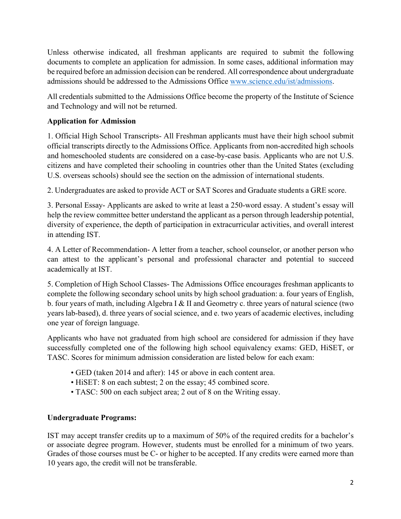Unless otherwise indicated, all freshman applicants are required to submit the following documents to complete an application for admission. In some cases, additional information may be required before an admission decision can be rendered. All correspondence about undergraduate admissions should be addressed to the Admissions Office www.science.edu/ist/admissions.

All credentials submitted to the Admissions Office become the property of the Institute of Science and Technology and will not be returned.

# **Application for Admission**

1. Official High School Transcripts- All Freshman applicants must have their high school submit official transcripts directly to the Admissions Office. Applicants from non-accredited high schools and homeschooled students are considered on a case-by-case basis. Applicants who are not U.S. citizens and have completed their schooling in countries other than the United States (excluding U.S. overseas schools) should see the section on the admission of international students.

2. Undergraduates are asked to provide ACT or SAT Scores and Graduate students a GRE score.

3. Personal Essay- Applicants are asked to write at least a 250-word essay. A student's essay will help the review committee better understand the applicant as a person through leadership potential, diversity of experience, the depth of participation in extracurricular activities, and overall interest in attending IST.

4. A Letter of Recommendation- A letter from a teacher, school counselor, or another person who can attest to the applicant's personal and professional character and potential to succeed academically at IST.

5. Completion of High School Classes- The Admissions Office encourages freshman applicants to complete the following secondary school units by high school graduation: a. four years of English, b. four years of math, including Algebra I & II and Geometry c. three years of natural science (two years lab-based), d. three years of social science, and e. two years of academic electives, including one year of foreign language.

Applicants who have not graduated from high school are considered for admission if they have successfully completed one of the following high school equivalency exams: GED, HiSET, or TASC. Scores for minimum admission consideration are listed below for each exam:

- GED (taken 2014 and after): 145 or above in each content area.
- HiSET: 8 on each subtest; 2 on the essay; 45 combined score.
- TASC: 500 on each subject area; 2 out of 8 on the Writing essay.

# **Undergraduate Programs:**

IST may accept transfer credits up to a maximum of 50% of the required credits for a bachelor's or associate degree program. However, students must be enrolled for a minimum of two years. Grades of those courses must be C- or higher to be accepted. If any credits were earned more than 10 years ago, the credit will not be transferable.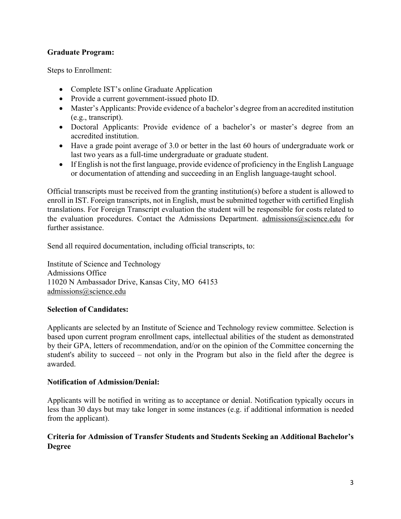## **Graduate Program:**

Steps to Enrollment:

- Complete IST's online Graduate Application
- Provide a current government-issued photo ID.
- Master's Applicants: Provide evidence of a bachelor's degree from an accredited institution (e.g., transcript).
- Doctoral Applicants: Provide evidence of a bachelor's or master's degree from an accredited institution.
- Have a grade point average of 3.0 or better in the last 60 hours of undergraduate work or last two years as a full-time undergraduate or graduate student.
- If English is not the first language, provide evidence of proficiency in the English Language or documentation of attending and succeeding in an English language-taught school.

Official transcripts must be received from the granting institution(s) before a student is allowed to enroll in IST. Foreign transcripts, not in English, must be submitted together with certified English translations. For Foreign Transcript evaluation the student will be responsible for costs related to the evaluation procedures. Contact the Admissions Department. admissions@science.edu for further assistance.

Send all required documentation, including official transcripts, to:

Institute of Science and Technology Admissions Office 11020 N Ambassador Drive, Kansas City, MO 64153 admissions@science.edu

## **Selection of Candidates:**

Applicants are selected by an Institute of Science and Technology review committee. Selection is based upon current program enrollment caps, intellectual abilities of the student as demonstrated by their GPA, letters of recommendation, and/or on the opinion of the Committee concerning the student's ability to succeed – not only in the Program but also in the field after the degree is awarded.

## **Notification of Admission/Denial:**

Applicants will be notified in writing as to acceptance or denial. Notification typically occurs in less than 30 days but may take longer in some instances (e.g. if additional information is needed from the applicant).

## **Criteria for Admission of Transfer Students and Students Seeking an Additional Bachelor's Degree**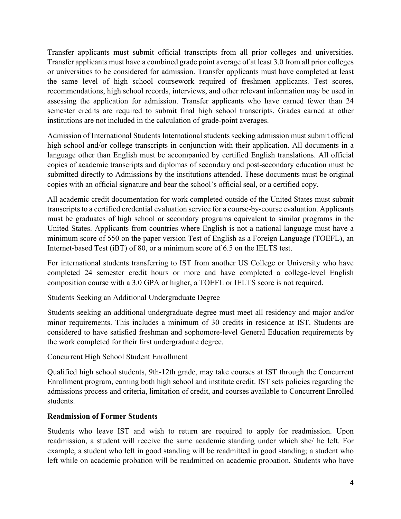Transfer applicants must submit official transcripts from all prior colleges and universities. Transfer applicants must have a combined grade point average of at least 3.0 from all prior colleges or universities to be considered for admission. Transfer applicants must have completed at least the same level of high school coursework required of freshmen applicants. Test scores, recommendations, high school records, interviews, and other relevant information may be used in assessing the application for admission. Transfer applicants who have earned fewer than 24 semester credits are required to submit final high school transcripts. Grades earned at other institutions are not included in the calculation of grade-point averages.

Admission of International Students International students seeking admission must submit official high school and/or college transcripts in conjunction with their application. All documents in a language other than English must be accompanied by certified English translations. All official copies of academic transcripts and diplomas of secondary and post-secondary education must be submitted directly to Admissions by the institutions attended. These documents must be original copies with an official signature and bear the school's official seal, or a certified copy.

All academic credit documentation for work completed outside of the United States must submit transcripts to a certified credential evaluation service for a course-by-course evaluation. Applicants must be graduates of high school or secondary programs equivalent to similar programs in the United States. Applicants from countries where English is not a national language must have a minimum score of 550 on the paper version Test of English as a Foreign Language (TOEFL), an Internet-based Test (iBT) of 80, or a minimum score of 6.5 on the IELTS test.

For international students transferring to IST from another US College or University who have completed 24 semester credit hours or more and have completed a college-level English composition course with a 3.0 GPA or higher, a TOEFL or IELTS score is not required.

Students Seeking an Additional Undergraduate Degree

Students seeking an additional undergraduate degree must meet all residency and major and/or minor requirements. This includes a minimum of 30 credits in residence at IST. Students are considered to have satisfied freshman and sophomore-level General Education requirements by the work completed for their first undergraduate degree.

Concurrent High School Student Enrollment

Qualified high school students, 9th-12th grade, may take courses at IST through the Concurrent Enrollment program, earning both high school and institute credit. IST sets policies regarding the admissions process and criteria, limitation of credit, and courses available to Concurrent Enrolled students.

# **Readmission of Former Students**

Students who leave IST and wish to return are required to apply for readmission. Upon readmission, a student will receive the same academic standing under which she/ he left. For example, a student who left in good standing will be readmitted in good standing; a student who left while on academic probation will be readmitted on academic probation. Students who have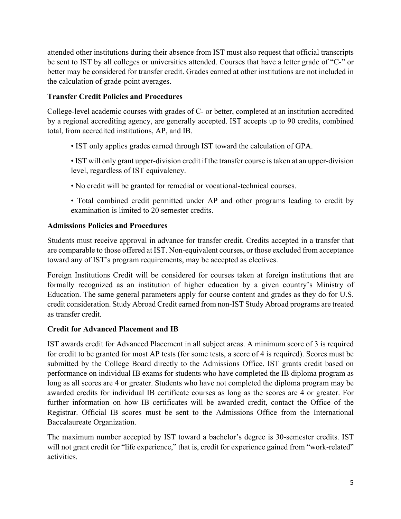attended other institutions during their absence from IST must also request that official transcripts be sent to IST by all colleges or universities attended. Courses that have a letter grade of "C-" or better may be considered for transfer credit. Grades earned at other institutions are not included in the calculation of grade-point averages.

# **Transfer Credit Policies and Procedures**

College-level academic courses with grades of C- or better, completed at an institution accredited by a regional accrediting agency, are generally accepted. IST accepts up to 90 credits, combined total, from accredited institutions, AP, and IB.

- IST only applies grades earned through IST toward the calculation of GPA.
- IST will only grant upper-division credit if the transfer course is taken at an upper-division level, regardless of IST equivalency.
- No credit will be granted for remedial or vocational-technical courses.
- Total combined credit permitted under AP and other programs leading to credit by examination is limited to 20 semester credits.

## **Admissions Policies and Procedures**

Students must receive approval in advance for transfer credit. Credits accepted in a transfer that are comparable to those offered at IST. Non-equivalent courses, or those excluded from acceptance toward any of IST's program requirements, may be accepted as electives.

Foreign Institutions Credit will be considered for courses taken at foreign institutions that are formally recognized as an institution of higher education by a given country's Ministry of Education. The same general parameters apply for course content and grades as they do for U.S. credit consideration. Study Abroad Credit earned from non-IST Study Abroad programs are treated as transfer credit.

## **Credit for Advanced Placement and IB**

IST awards credit for Advanced Placement in all subject areas. A minimum score of 3 is required for credit to be granted for most AP tests (for some tests, a score of 4 is required). Scores must be submitted by the College Board directly to the Admissions Office. IST grants credit based on performance on individual IB exams for students who have completed the IB diploma program as long as all scores are 4 or greater. Students who have not completed the diploma program may be awarded credits for individual IB certificate courses as long as the scores are 4 or greater. For further information on how IB certificates will be awarded credit, contact the Office of the Registrar. Official IB scores must be sent to the Admissions Office from the International Baccalaureate Organization.

The maximum number accepted by IST toward a bachelor's degree is 30-semester credits. IST will not grant credit for "life experience," that is, credit for experience gained from "work-related" activities.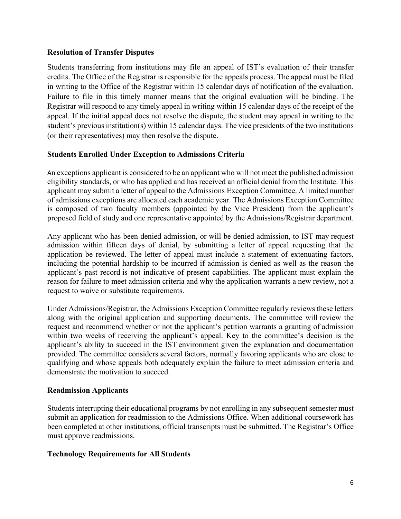### **Resolution of Transfer Disputes**

Students transferring from institutions may file an appeal of IST's evaluation of their transfer credits. The Office of the Registrar is responsible for the appeals process. The appeal must be filed in writing to the Office of the Registrar within 15 calendar days of notification of the evaluation. Failure to file in this timely manner means that the original evaluation will be binding. The Registrar will respond to any timely appeal in writing within 15 calendar days of the receipt of the appeal. If the initial appeal does not resolve the dispute, the student may appeal in writing to the student's previous institution(s) within 15 calendar days. The vice presidents of the two institutions (or their representatives) may then resolve the dispute.

### **Students Enrolled Under Exception to Admissions Criteria**

An exceptions applicant is considered to be an applicant who will not meet the published admission eligibility standards, or who has applied and has received an official denial from the Institute. This applicant may submit a letter of appeal to the Admissions Exception Committee. A limited number of admissions exceptions are allocated each academic year. The Admissions Exception Committee is composed of two faculty members (appointed by the Vice President) from the applicant's proposed field of study and one representative appointed by the Admissions/Registrar department.

Any applicant who has been denied admission, or will be denied admission, to IST may request admission within fifteen days of denial, by submitting a letter of appeal requesting that the application be reviewed. The letter of appeal must include a statement of extenuating factors, including the potential hardship to be incurred if admission is denied as well as the reason the applicant's past record is not indicative of present capabilities. The applicant must explain the reason for failure to meet admission criteria and why the application warrants a new review, not a request to waive or substitute requirements.

Under Admissions/Registrar, the Admissions Exception Committee regularly reviews these letters along with the original application and supporting documents. The committee will review the request and recommend whether or not the applicant's petition warrants a granting of admission within two weeks of receiving the applicant's appeal. Key to the committee's decision is the applicant's ability to succeed in the IST environment given the explanation and documentation provided. The committee considers several factors, normally favoring applicants who are close to qualifying and whose appeals both adequately explain the failure to meet admission criteria and demonstrate the motivation to succeed.

## **Readmission Applicants**

Students interrupting their educational programs by not enrolling in any subsequent semester must submit an application for readmission to the Admissions Office. When additional coursework has been completed at other institutions, official transcripts must be submitted. The Registrar's Office must approve readmissions.

## **Technology Requirements for All Students**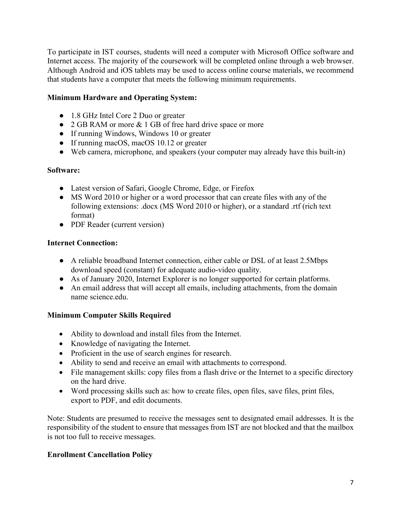To participate in IST courses, students will need a computer with Microsoft Office software and Internet access. The majority of the coursework will be completed online through a web browser. Although Android and iOS tablets may be used to access online course materials, we recommend that students have a computer that meets the following minimum requirements.

## **Minimum Hardware and Operating System:**

- 1.8 GHz Intel Core 2 Duo or greater
- 2 GB RAM or more & 1 GB of free hard drive space or more
- If running Windows, Windows 10 or greater
- If running macOS, macOS 10.12 or greater
- Web camera, microphone, and speakers (your computer may already have this built-in)

## **Software:**

- Latest version of Safari, Google Chrome, Edge, or Firefox
- MS Word 2010 or higher or a word processor that can create files with any of the following extensions: .docx (MS Word 2010 or higher), or a standard .rtf (rich text format)
- PDF Reader (current version)

## **Internet Connection:**

- A reliable broadband Internet connection, either cable or DSL of at least 2.5Mbps download speed (constant) for adequate audio-video quality.
- As of January 2020, Internet Explorer is no longer supported for certain platforms.
- An email address that will accept all emails, including attachments, from the domain name science.edu.

# **Minimum Computer Skills Required**

- Ability to download and install files from the Internet.
- Knowledge of navigating the Internet.
- Proficient in the use of search engines for research.
- Ability to send and receive an email with attachments to correspond.
- File management skills: copy files from a flash drive or the Internet to a specific directory on the hard drive.
- Word processing skills such as: how to create files, open files, save files, print files, export to PDF, and edit documents.

Note: Students are presumed to receive the messages sent to designated email addresses. It is the responsibility of the student to ensure that messages from IST are not blocked and that the mailbox is not too full to receive messages.

## **Enrollment Cancellation Policy**